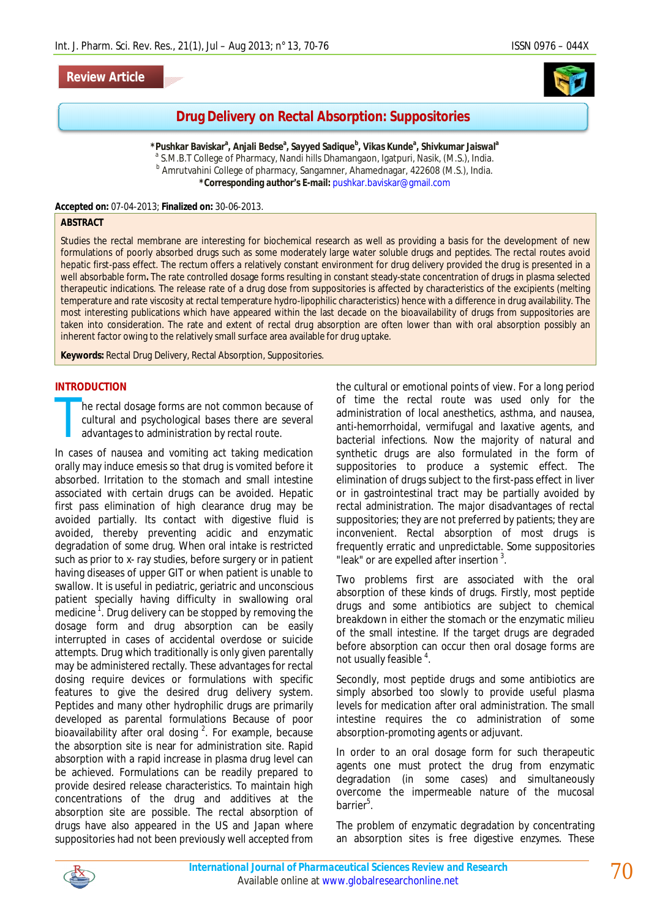### **Review Article**



# **Drug Delivery on Rectal Absorption: Suppositories**

**\*Pushkar Baviskar<sup>a</sup> , Anjali Bedse<sup>a</sup> , Sayyed Sadique<sup>b</sup> , Vikas Kunde<sup>a</sup> , Shivkumar Jaiswal<sup>a</sup>** <sup>a</sup> S.M.B.T College of Pharmacy, Nandi hills Dhamangaon, Igatpuri, Nasik, (M.S.), India. <sup>b</sup> Amrutvahini College of pharmacy, Sangamner, Ahamednagar, 422608 (M.S.), India. **\*Corresponding author's E-mail:** pushkar.baviskar@gmail.com

#### **Accepted on:** 07-04-2013; **Finalized on:** 30-06-2013.

### **ABSTRACT**

Studies the rectal membrane are interesting for biochemical research as well as providing a basis for the development of new formulations of poorly absorbed drugs such as some moderately large water soluble drugs and peptides. The rectal routes avoid hepatic first-pass effect. The rectum offers a relatively constant environment for drug delivery provided the drug is presented in a well absorbable form**.** The rate controlled dosage forms resulting in constant steady-state concentration of drugs in plasma selected therapeutic indications. The release rate of a drug dose from suppositories is affected by characteristics of the excipients (melting temperature and rate viscosity at rectal temperature hydro-lipophilic characteristics) hence with a difference in drug availability. The most interesting publications which have appeared within the last decade on the bioavailability of drugs from suppositories are taken into consideration. The rate and extent of rectal drug absorption are often lower than with oral absorption possibly an inherent factor owing to the relatively small surface area available for drug uptake.

**Keywords:** Rectal Drug Delivery, Rectal Absorption, Suppositories.

#### **INTRODUCTION**

he rectal dosage forms are not common because of cultural and psychological bases there are several advantages to administration by rectal route. T

In cases of nausea and vomiting act taking medication orally may induce emesis so that drug is vomited before it absorbed. Irritation to the stomach and small intestine associated with certain drugs can be avoided. Hepatic first pass elimination of high clearance drug may be avoided partially. Its contact with digestive fluid is avoided, thereby preventing acidic and enzymatic degradation of some drug. When oral intake is restricted such as prior to x- ray studies, before surgery or in patient having diseases of upper GIT or when patient is unable to swallow. It is useful in pediatric, geriatric and unconscious patient specially having difficulty in swallowing oral medicine<sup>1</sup>. Drug delivery can be stopped by removing the dosage form and drug absorption can be easily interrupted in cases of accidental overdose or suicide attempts. Drug which traditionally is only given parentally may be administered rectally. These advantages for rectal dosing require devices or formulations with specific features to give the desired drug delivery system. Peptides and many other hydrophilic drugs are primarily developed as parental formulations Because of poor bioavailability after oral dosing  $2$ . For example, because the absorption site is near for administration site. Rapid absorption with a rapid increase in plasma drug level can be achieved. Formulations can be readily prepared to provide desired release characteristics. To maintain high concentrations of the drug and additives at the absorption site are possible. The rectal absorption of drugs have also appeared in the US and Japan where suppositories had not been previously well accepted from

the cultural or emotional points of view. For a long period of time the rectal route was used only for the administration of local anesthetics, asthma, and nausea, anti-hemorrhoidal, vermifugal and laxative agents, and bacterial infections. Now the majority of natural and synthetic drugs are also formulated in the form of suppositories to produce a systemic effect. The elimination of drugs subject to the first-pass effect in liver or in gastrointestinal tract may be partially avoided by rectal administration. The major disadvantages of rectal suppositories; they are not preferred by patients; they are inconvenient. Rectal absorption of most drugs is frequently erratic and unpredictable. Some suppositories "leak" or are expelled after insertion<sup>3</sup>.

Two problems first are associated with the oral absorption of these kinds of drugs. Firstly, most peptide drugs and some antibiotics are subject to chemical breakdown in either the stomach or the enzymatic milieu of the small intestine. If the target drugs are degraded before absorption can occur then oral dosage forms are not usually feasible <sup>4</sup>.

Secondly, most peptide drugs and some antibiotics are simply absorbed too slowly to provide useful plasma levels for medication after oral administration. The small intestine requires the co administration of some absorption-promoting agents or adjuvant.

In order to an oral dosage form for such therapeutic agents one must protect the drug from enzymatic degradation (in some cases) and simultaneously overcome the impermeable nature of the mucosal barrier<sup>5</sup>.

The problem of enzymatic degradation by concentrating an absorption sites is free digestive enzymes. These

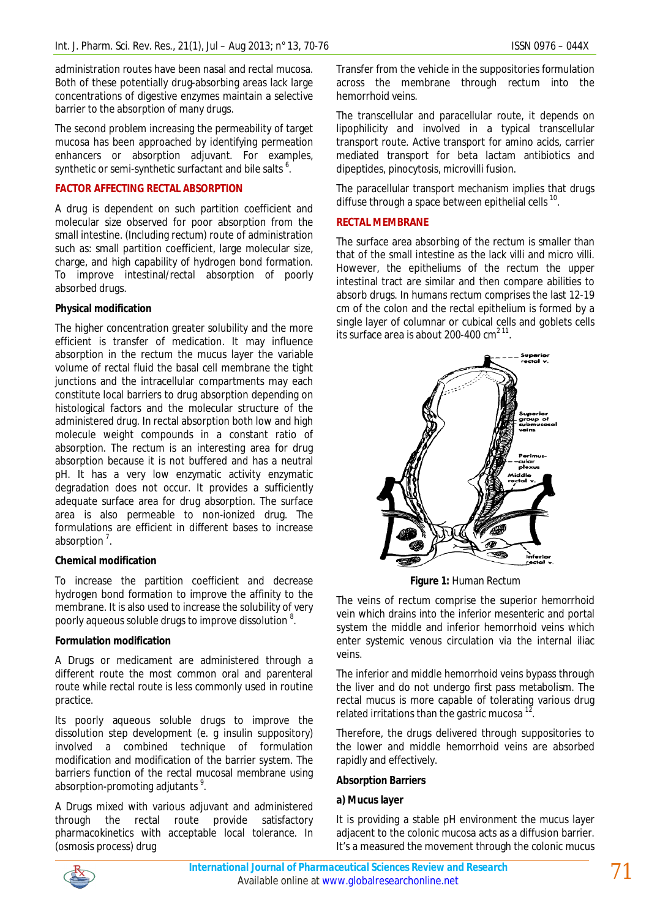administration routes have been nasal and rectal mucosa. Both of these potentially drug-absorbing areas lack large concentrations of digestive enzymes maintain a selective barrier to the absorption of many drugs.

The second problem increasing the permeability of target mucosa has been approached by identifying permeation enhancers or absorption adjuvant. For examples, synthetic or semi-synthetic surfactant and bile salts  $^6$ .

### **FACTOR AFFECTING RECTAL ABSORPTION**

A drug is dependent on such partition coefficient and molecular size observed for poor absorption from the small intestine. (Including rectum) route of administration such as: small partition coefficient, large molecular size, charge, and high capability of hydrogen bond formation. To improve intestinal/rectal absorption of poorly absorbed drugs.

#### **Physical modification**

The higher concentration greater solubility and the more efficient is transfer of medication. It may influence absorption in the rectum the mucus layer the variable volume of rectal fluid the basal cell membrane the tight junctions and the intracellular compartments may each constitute local barriers to drug absorption depending on histological factors and the molecular structure of the administered drug. In rectal absorption both low and high molecule weight compounds in a constant ratio of absorption. The rectum is an interesting area for drug absorption because it is not buffered and has a neutral pH. It has a very low enzymatic activity enzymatic degradation does not occur. It provides a sufficiently adequate surface area for drug absorption. The surface area is also permeable to non-ionized drug. The formulations are efficient in different bases to increase absorption<sup>7</sup>.

### **Chemical modification**

To increase the partition coefficient and decrease hydrogen bond formation to improve the affinity to the membrane. It is also used to increase the solubility of very poorly aqueous soluble drugs to improve dissolution  $^8$ .

### **Formulation modification**

A Drugs or medicament are administered through a different route the most common oral and parenteral route while rectal route is less commonly used in routine practice.

Its poorly aqueous soluble drugs to improve the dissolution step development (e. g insulin suppository) involved a combined technique of formulation modification and modification of the barrier system. The barriers function of the rectal mucosal membrane using absorption-promoting adjutants  $9$ .

A Drugs mixed with various adjuvant and administered through the rectal route provide satisfactory pharmacokinetics with acceptable local tolerance. In (osmosis process) drug

Transfer from the vehicle in the suppositories formulation across the membrane through rectum into the hemorrhoid veins.

The transcellular and paracellular route, it depends on lipophilicity and involved in a typical transcellular transport route. Active transport for amino acids, carrier mediated transport for beta lactam antibiotics and dipeptides, pinocytosis, microvilli fusion.

The paracellular transport mechanism implies that drugs diffuse through a space between epithelial cells  $^{10}$ .

#### **RECTAL MEMBRANE**

The surface area absorbing of the rectum is smaller than that of the small intestine as the lack villi and micro villi. However, the epitheliums of the rectum the upper intestinal tract are similar and then compare abilities to absorb drugs. In humans rectum comprises the last 12-19 cm of the colon and the rectal epithelium is formed by a single layer of columnar or cubical cells and goblets cells its surface area is about 200-400  $\text{cm}^{211}$ .



**Figure 1:** Human Rectum

The veins of rectum comprise the superior hemorrhoid vein which drains into the inferior mesenteric and portal system the middle and inferior hemorrhoid veins which enter systemic venous circulation via the internal iliac veins.

The inferior and middle hemorrhoid veins bypass through the liver and do not undergo first pass metabolism. The rectal mucus is more capable of tolerating various drug related irritations than the gastric mucosa  $^{12}$ .

Therefore, the drugs delivered through suppositories to the lower and middle hemorrhoid veins are absorbed rapidly and effectively.

### **Absorption Barriers**

### **a) Mucus layer**

It is providing a stable pH environment the mucus layer adjacent to the colonic mucosa acts as a diffusion barrier. It's a measured the movement through the colonic mucus

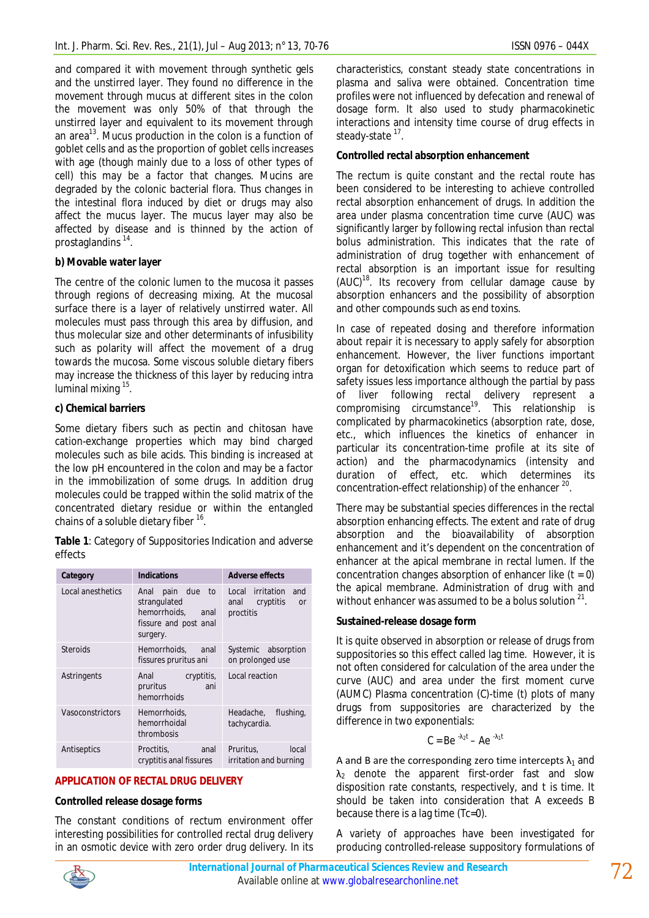and compared it with movement through synthetic gels and the unstirred layer. They found no difference in the movement through mucus at different sites in the colon the movement was only 50% of that through the unstirred layer and equivalent to its movement through an area<sup>13</sup>. Mucus production in the colon is a function of goblet cells and as the proportion of goblet cells increases with age (though mainly due to a loss of other types of cell) this may be a factor that changes. Mucins are degraded by the colonic bacterial flora. Thus changes in the intestinal flora induced by diet or drugs may also affect the mucus layer. The mucus layer may also be affected by disease and is thinned by the action of prostaglandins<sup>14</sup>.

## **b) Movable water layer**

The centre of the colonic lumen to the mucosa it passes through regions of decreasing mixing. At the mucosal surface there is a layer of relatively unstirred water. All molecules must pass through this area by diffusion, and thus molecular size and other determinants of infusibility such as polarity will affect the movement of a drug towards the mucosa. Some viscous soluble dietary fibers may increase the thickness of this layer by reducing intra luminal mixing <sup>15</sup>.

### **c) Chemical barriers**

Some dietary fibers such as pectin and chitosan have cation-exchange properties which may bind charged molecules such as bile acids. This binding is increased at the low pH encountered in the colon and may be a factor in the immobilization of some drugs. In addition drug molecules could be trapped within the solid matrix of the concentrated dietary residue or within the entangled chains of a soluble dietary fiber  $^{16}$ .

**Table 1**: Category of Suppositories Indication and adverse effects

| Category          | <b>Indications</b>                                                                            | <b>Adverse effects</b>                                              |
|-------------------|-----------------------------------------------------------------------------------------------|---------------------------------------------------------------------|
| Local anesthetics | pain due to<br>Anal<br>strangulated<br>hemorrhoids, anal<br>fissure and post anal<br>surgery. | Local irritation<br>and<br>anal cryptitis<br><b>or</b><br>proctitis |
| <b>Steroids</b>   | Hemorrhoids, anal<br>fissures pruritus ani                                                    | Systemic absorption<br>on prolonged use                             |
| Astringents       | Anal<br>cryptitis,<br>pruritus<br>ani<br>hemorrhoids                                          | Local reaction                                                      |
| Vasoconstrictors  | Hemorrhoids.<br>hemorrhoidal<br>thrombosis                                                    | Headache, flushing,<br>tachycardia.                                 |
| Antiseptics       | Proctitis,<br>anal<br>cryptitis anal fissures                                                 | local<br>Pruritus,<br>irritation and burning                        |

### **APPLICATION OF RECTAL DRUG DELIVERY**

### **Controlled release dosage forms**

The constant conditions of rectum environment offer interesting possibilities for controlled rectal drug delivery in an osmotic device with zero order drug delivery. In its

characteristics, constant steady state concentrations in plasma and saliva were obtained. Concentration time profiles were not influenced by defecation and renewal of dosage form. It also used to study pharmacokinetic interactions and intensity time course of drug effects in steady-state <sup>17</sup>.

### **Controlled rectal absorption enhancement**

The rectum is quite constant and the rectal route has been considered to be interesting to achieve controlled rectal absorption enhancement of drugs. In addition the area under plasma concentration time curve (AUC) was significantly larger by following rectal infusion than rectal bolus administration. This indicates that the rate of administration of drug together with enhancement of rectal absorption is an important issue for resulting (AUC)<sup>18</sup>. Its recovery from cellular damage cause by absorption enhancers and the possibility of absorption and other compounds such as end toxins.

In case of repeated dosing and therefore information about repair it is necessary to apply safely for absorption enhancement. However, the liver functions important organ for detoxification which seems to reduce part of safety issues less importance although the partial by pass of liver following rectal delivery represent a  $compromising$  circumstance<sup>19</sup>. This relationship is complicated by pharmacokinetics (absorption rate, dose, etc., which influences the kinetics of enhancer in particular its concentration-time profile at its site of action) and the pharmacodynamics (intensity and duration of effect, etc. which determines its concentration-effect relationship) of the enhancer  $^{20}$ .

There may be substantial species differences in the rectal absorption enhancing effects. The extent and rate of drug absorption and the bioavailability of absorption enhancement and it's dependent on the concentration of enhancer at the apical membrane in rectal lumen. If the concentration changes absorption of enhancer like  $(t = 0)$ the apical membrane. Administration of drug with and without enhancer was assumed to be a bolus solution  $21$ .

### **Sustained-release dosage form**

It is quite observed in absorption or release of drugs from suppositories so this effect called lag time. However, it is not often considered for calculation of the area under the curve (AUC) and area under the first moment curve (AUMC) Plasma concentration (C)-time (t) plots of many drugs from suppositories are characterized by the difference in two exponentials:

$$
C = Be^{-\lambda_2 t} - Ae^{-\lambda_1 t}
$$

A and B are the corresponding zero time intercepts  $\lambda_1$  and  $\lambda_2$  denote the apparent first-order fast and slow disposition rate constants, respectively, and t is time. It should be taken into consideration that A exceeds B because there is a lag time (Tc=0).

A variety of approaches have been investigated for producing controlled-release suppository formulations of

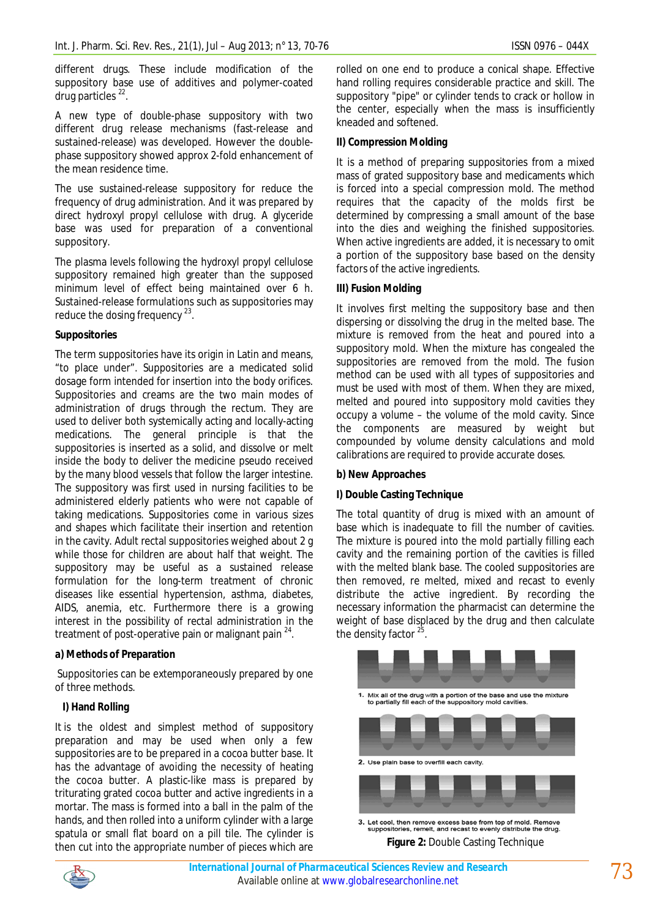different drugs. These include modification of the suppository base use of additives and polymer-coated drug particles<sup>22</sup>.

A new type of double-phase suppository with two different drug release mechanisms (fast-release and sustained-release) was developed. However the doublephase suppository showed approx 2-fold enhancement of the mean residence time.

The use sustained-release suppository for reduce the frequency of drug administration. And it was prepared by direct hydroxyl propyl cellulose with drug. A glyceride base was used for preparation of a conventional suppository.

The plasma levels following the hydroxyl propyl cellulose suppository remained high greater than the supposed minimum level of effect being maintained over 6 h. Sustained-release formulations such as suppositories may reduce the dosing frequency <sup>23</sup>.

### **Suppositories**

The term suppositories have its origin in Latin and means, "to place under". Suppositories are a medicated solid dosage form intended for insertion into the body orifices. Suppositories and creams are the two main modes of administration of drugs through the rectum. They are used to deliver both systemically acting and locally-acting medications. The general principle is that the suppositories is inserted as a solid, and dissolve or melt inside the body to deliver the medicine pseudo received by the many blood vessels that follow the larger intestine. The suppository was first used in nursing facilities to be administered elderly patients who were not capable of taking medications. Suppositories come in various sizes and shapes which facilitate their insertion and retention in the cavity. Adult rectal suppositories weighed about 2 g while those for children are about half that weight. The suppository may be useful as a sustained release formulation for the long-term treatment of chronic diseases like essential hypertension, asthma, diabetes, AIDS, anemia, etc. Furthermore there is a growing interest in the possibility of rectal administration in the treatment of post-operative pain or malignant pain  $24$ .

### **a) Methods of Preparation**

Suppositories can be extemporaneously prepared by one of three methods.

## **I) Hand Rolling**

It is the oldest and simplest method of suppository preparation and may be used when only a few suppositories are to be prepared in a cocoa butter base. It has the advantage of avoiding the necessity of heating the cocoa butter. A plastic-like mass is prepared by triturating grated cocoa butter and active ingredients in a mortar. The mass is formed into a ball in the palm of the hands, and then rolled into a uniform cylinder with a large spatula or small flat board on a pill tile. The cylinder is then cut into the appropriate number of pieces which are

rolled on one end to produce a conical shape. Effective hand rolling requires considerable practice and skill. The suppository "pipe" or cylinder tends to crack or hollow in the center, especially when the mass is insufficiently kneaded and softened.

### **II) Compression Molding**

It is a method of preparing suppositories from a mixed mass of grated suppository base and medicaments which is forced into a special compression mold. The method requires that the capacity of the molds first be determined by compressing a small amount of the base into the dies and weighing the finished suppositories. When active ingredients are added, it is necessary to omit a portion of the suppository base based on the density factors of the active ingredients.

### **III) Fusion Molding**

It involves first melting the suppository base and then dispersing or dissolving the drug in the melted base. The mixture is removed from the heat and poured into a suppository mold. When the mixture has congealed the suppositories are removed from the mold. The fusion method can be used with all types of suppositories and must be used with most of them. When they are mixed, melted and poured into suppository mold cavities they occupy a volume – the volume of the mold cavity. Since the components are measured by weight but compounded by volume density calculations and mold calibrations are required to provide accurate doses.

## **b) New Approaches**

## **I) Double Casting Technique**

The total quantity of drug is mixed with an amount of base which is inadequate to fill the number of cavities. The mixture is poured into the mold partially filling each cavity and the remaining portion of the cavities is filled with the melted blank base. The cooled suppositories are then removed, re melted, mixed and recast to evenly distribute the active ingredient. By recording the necessary information the pharmacist can determine the weight of base displaced by the drug and then calculate the density factor<sup>25</sup>.



**Figure 2:** Double Casting Technique

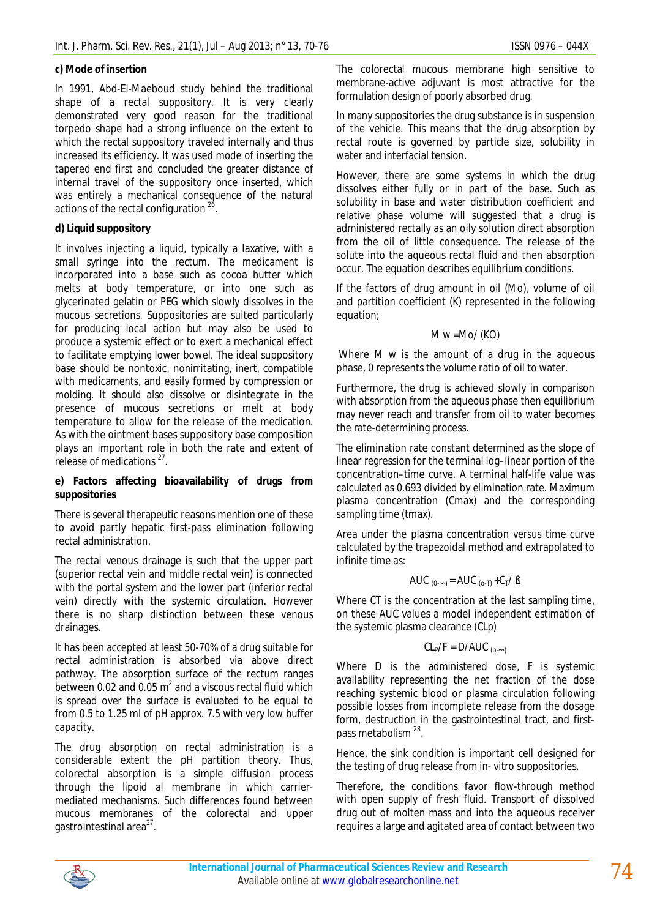#### **c) Mode of insertion**

In 1991, Abd-El-Maeboud study behind the traditional shape of a rectal suppository. It is very clearly demonstrated very good reason for the traditional torpedo shape had a strong influence on the extent to which the rectal suppository traveled internally and thus increased its efficiency. It was used mode of inserting the tapered end first and concluded the greater distance of internal travel of the suppository once inserted, which was entirely a mechanical consequence of the natural actions of the rectal configuration  $2^6$ .

### **d) Liquid suppository**

It involves injecting a liquid, typically a laxative, with a small syringe into the rectum. The medicament is incorporated into a base such as cocoa butter which melts at body temperature, or into one such as glycerinated gelatin or PEG which slowly dissolves in the mucous secretions. Suppositories are suited particularly for producing local action but may also be used to produce a systemic effect or to exert a mechanical effect to facilitate emptying lower bowel. The ideal suppository base should be nontoxic, nonirritating, inert, compatible with medicaments, and easily formed by compression or molding. It should also dissolve or disintegrate in the presence of mucous secretions or melt at body temperature to allow for the release of the medication. As with the ointment bases suppository base composition plays an important role in both the rate and extent of release of medications<sup>27</sup>.

#### **e) Factors affecting bioavailability of drugs from suppositories**

There is several therapeutic reasons mention one of these to avoid partly hepatic first-pass elimination following rectal administration.

The rectal venous drainage is such that the upper part (superior rectal vein and middle rectal vein) is connected with the portal system and the lower part (inferior rectal vein) directly with the systemic circulation. However there is no sharp distinction between these venous drainages.

It has been accepted at least 50-70% of a drug suitable for rectal administration is absorbed via above direct pathway. The absorption surface of the rectum ranges between 0.02 and 0.05  $\text{m}^2$  and a viscous rectal fluid which is spread over the surface is evaluated to be equal to from 0.5 to 1.25 ml of pH approx. 7.5 with very low buffer capacity.

The drug absorption on rectal administration is a considerable extent the pH partition theory. Thus, colorectal absorption is a simple diffusion process through the lipoid al membrane in which carriermediated mechanisms. Such differences found between mucous membranes of the colorectal and upper gastrointestinal area<sup>27</sup>.

The colorectal mucous membrane high sensitive to membrane-active adjuvant is most attractive for the formulation design of poorly absorbed drug.

In many suppositories the drug substance is in suspension of the vehicle. This means that the drug absorption by rectal route is governed by particle size, solubility in water and interfacial tension.

However, there are some systems in which the drug dissolves either fully or in part of the base. Such as solubility in base and water distribution coefficient and relative phase volume will suggested that a drug is administered rectally as an oily solution direct absorption from the oil of little consequence. The release of the solute into the aqueous rectal fluid and then absorption occur. The equation describes equilibrium conditions.

If the factors of drug amount in oil (Mo), volume of oil and partition coefficient (K) represented in the following equation;

#### $M w = Mo/ (KO)$

Where M w is the amount of a drug in the aqueous phase, 0 represents the volume ratio of oil to water.

Furthermore, the drug is achieved slowly in comparison with absorption from the aqueous phase then equilibrium may never reach and transfer from oil to water becomes the rate-determining process.

The elimination rate constant determined as the slope of linear regression for the terminal log–linear portion of the concentration–time curve. A terminal half-life value was calculated as 0.693 divided by elimination rate. Maximum plasma concentration (Cmax) and the corresponding sampling time (tmax).

Area under the plasma concentration versus time curve calculated by the trapezoidal method and extrapolated to infinite time as:

AUC 
$$
_{(0-\infty)} =
$$
 AUC  $_{(0-T)} + C_T / B$ 

Where *CT* is the concentration at the last sampling time, on these AUC values a model independent estimation of the systemic plasma clearance (CLp)

$$
CL_P/F = D/AUC_{(0-\infty)}
$$

Where *D* is the administered dose, *F* is systemic availability representing the net fraction of the dose reaching systemic blood or plasma circulation following possible losses from incomplete release from the dosage form, destruction in the gastrointestinal tract, and firstpass metabolism <sup>28</sup>.

Hence, the sink condition is important cell designed for the testing of drug release from in- vitro suppositories.

Therefore, the conditions favor flow-through method with open supply of fresh fluid. Transport of dissolved drug out of molten mass and into the aqueous receiver requires a large and agitated area of contact between two

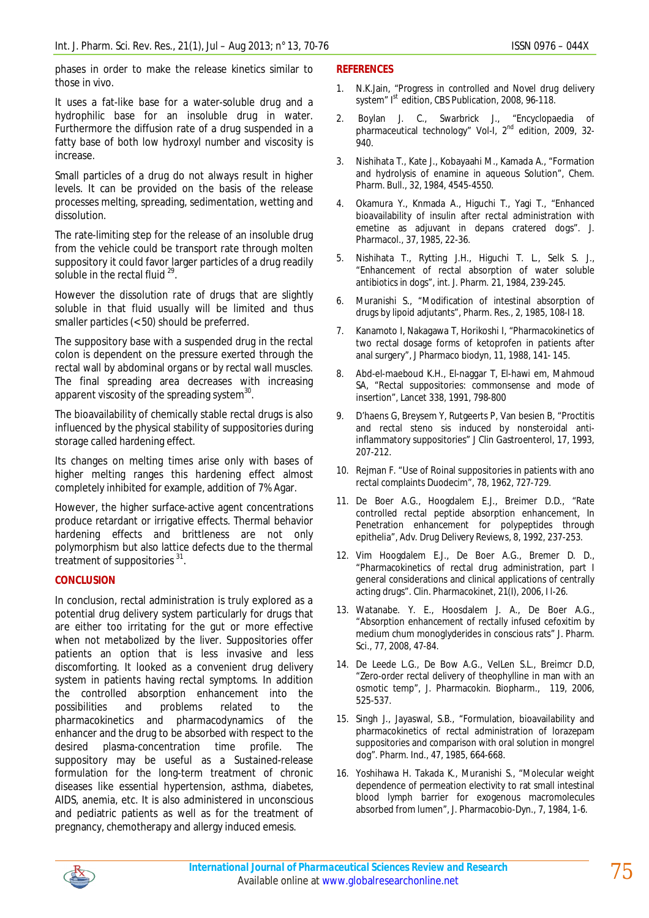phases in order to make the release kinetics similar to those in vivo.

It uses a fat-like base for a water-soluble drug and a hydrophilic base for an insoluble drug in water. Furthermore the diffusion rate of a drug suspended in a fatty base of both low hydroxyl number and viscosity is increase.

Small particles of a drug do not always result in higher levels. It can be provided on the basis of the release processes melting, spreading, sedimentation, wetting and dissolution.

The rate-limiting step for the release of an insoluble drug from the vehicle could be transport rate through molten suppository it could favor larger particles of a drug readily soluble in the rectal fluid  $^{29}$ .

However the dissolution rate of drugs that are slightly soluble in that fluid usually will be limited and thus smaller particles (< 50) should be preferred.

The suppository base with a suspended drug in the rectal colon is dependent on the pressure exerted through the rectal wall by abdominal organs or by rectal wall muscles. The final spreading area decreases with increasing apparent viscosity of the spreading system $^{30}$ .

The bioavailability of chemically stable rectal drugs is also influenced by the physical stability of suppositories during storage called hardening effect.

Its changes on melting times arise only with bases of higher melting ranges this hardening effect almost completely inhibited for example, addition of 7% Agar.

However, the higher surface-active agent concentrations produce retardant or irrigative effects. Thermal behavior hardening effects and brittleness are not only polymorphism but also lattice defects due to the thermal treatment of suppositories<sup>31</sup>.

### **CONCLUSION**

In conclusion, rectal administration is truly explored as a potential drug delivery system particularly for drugs that are either too irritating for the gut or more effective when not metabolized by the liver. Suppositories offer patients an option that is less invasive and less discomforting. It looked as a convenient drug delivery system in patients having rectal symptoms. In addition the controlled absorption enhancement into the possibilities and problems related to the pharmacokinetics and pharmacodynamics of the enhancer and the drug to be absorbed with respect to the desired plasma-concentration time profile. The suppository may be useful as a Sustained-release formulation for the long-term treatment of chronic diseases like essential hypertension, asthma, diabetes, AIDS, anemia, etc. It is also administered in unconscious and pediatric patients as well as for the treatment of pregnancy, chemotherapy and allergy induced emesis.

### **REFERENCES**

- 1. N.K.Jain, "Progress in controlled and Novel drug delivery system" Ist edition, CBS Publication, 2008, 96-118.
- 2. Boylan J. C., Swarbrick J., "Encyclopaedia of pharmaceutical technology" Vol-I, 2<sup>nd</sup> edition, 2009, 32-940.
- 3. Nishihata T., Kate J., Kobayaahi M., Kamada A., "Formation and hydrolysis of enamine in aqueous Solution", Chem. Pharm. Bull., 32, 1984, 4545-4550.
- 4. Okamura Y., Knmada A., Higuchi T., Yagi T., "Enhanced bioavailability of insulin after rectal administration with emetine as adjuvant in depans cratered dogs". J. Pharmacol., 37, 1985, 22-36.
- 5. Nishihata T., Rytting J.H., Higuchi T. L., Selk S. J., "Enhancement of rectal absorption of water soluble antibiotics in dogs", int. J. Pharm. 21, 1984, 239-245.
- 6. Muranishi S., "Modification of intestinal absorption of drugs by lipoid adjutants", Pharm. Res., 2, 1985, 108-I 18.
- 7. Kanamoto I, Nakagawa T, Horikoshi I, "Pharmacokinetics of two rectal dosage forms of ketoprofen in patients after anal surgery", J Pharmaco biodyn, 11, 1988, 141- 145.
- 8. Abd-el-maeboud K.H., El-naggar T, El-hawi em, Mahmoud SA, "Rectal suppositories: commonsense and mode of insertion", Lancet 338, 1991, 798-800
- 9. D'haens G, Breysem Y, Rutgeerts P, Van besien B, "Proctitis and rectal steno sis induced by nonsteroidal antiinflammatory suppositories" J Clin Gastroenterol, 17, 1993, 207-212.
- 10. Rejman F. "Use of Roinal suppositories in patients with ano rectal complaints Duodecim", 78, 1962, 727-729.
- 11. De Boer A.G., Hoogdalem E.J., Breimer D.D., "Rate controlled rectal peptide absorption enhancement, In Penetration enhancement for polypeptides through epithelia", Adv. Drug Delivery Reviews, 8, 1992, 237-253.
- 12. Vim Hoogdalem E.J., De Boer A.G., Bremer D. D., "Pharmacokinetics of rectal drug administration, part I general considerations and clinical applications of centrally acting drugs". Clin. Pharmacokinet, 21(I), 2006, I l-26.
- 13. Watanabe. Y. E., Hoosdalem J. A., De Boer A.G., "Absorption enhancement of rectally infused cefoxitim by medium chum monoglyderides in conscious rats" J. Pharm. Sci., 77, 2008, 47-84.
- 14. De Leede L.G., De Bow A.G., VeILen S.L., Breimcr D.D, "Zero-order rectal delivery of theophylline in man with an osmotic temp", J. Pharmacokin. Biopharm., 119, 2006, 525-537.
- 15. Singh J., Jayaswal, S.B., "Formulation, bioavailability and pharmacokinetics of rectal administration of lorazepam suppositories and comparison with oral solution in mongrel dog". Pharm. Ind., 47, 1985, 664-668.
- 16. Yoshihawa H. Takada K., Muranishi S., "Molecular weight dependence of permeation electivity to rat small intestinal blood lymph barrier for exogenous macromolecules absorbed from lumen", J. Pharmacobio-Dyn., 7, 1984, 1-6.